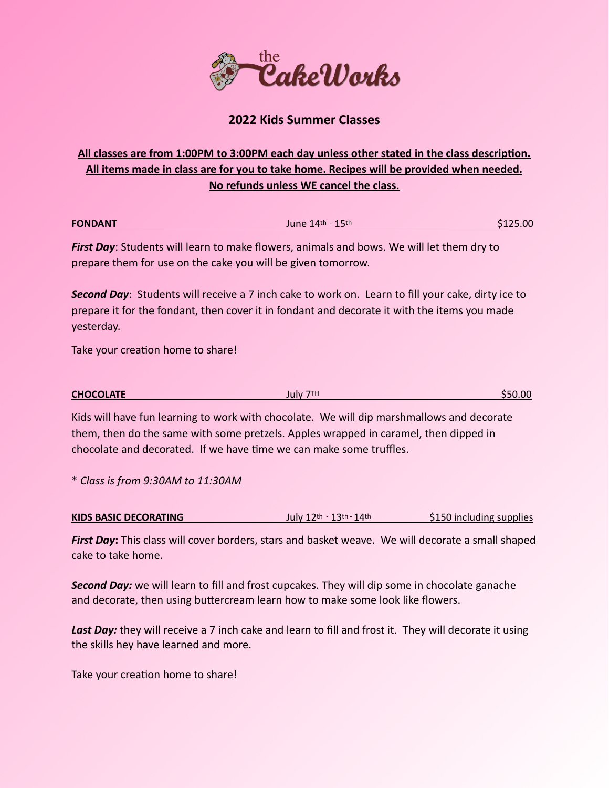

## **2022 Kids Summer Classes**

## **All classes are from 1:00PM to 3:00PM each day unless other stated in the class description. All items made in class are for you to take home. Recipes will be provided when needed. No refunds unless WE cancel the class.**

| <b>FONDANT</b> | June $14$ <sup>th - 15th</sup> | \$125.00 |
|----------------|--------------------------------|----------|
|                |                                |          |

*First Day*: Students will learn to make flowers, animals and bows. We will let them dry to prepare them for use on the cake you will be given tomorrow.

*Second Day*: Students will receive a 7 inch cake to work on. Learn to fill your cake, dirty ice to prepare it for the fondant, then cover it in fondant and decorate it with the items you made yesterday.

Take your creation home to share!

| <b>CHOCOLATE</b> | July 7TH | <b>S50.00</b> |
|------------------|----------|---------------|
|                  |          |               |

Kids will have fun learning to work with chocolate. We will dip marshmallows and decorate them, then do the same with some pretzels. Apples wrapped in caramel, then dipped in chocolate and decorated. If we have time we can make some truffles.

\* *Class is from 9:30AM to 11:30AM*

| KIDS BASIC DECORATING | $July 12th - 13th - 14th$ | \$150 including supplies |
|-----------------------|---------------------------|--------------------------|
|-----------------------|---------------------------|--------------------------|

*First Day***:** This class will cover borders, stars and basket weave. We will decorate a small shaped cake to take home.

**Second Day:** we will learn to fill and frost cupcakes. They will dip some in chocolate ganache and decorate, then using buttercream learn how to make some look like flowers.

Last Day: they will receive a 7 inch cake and learn to fill and frost it. They will decorate it using the skills hey have learned and more.

Take your creation home to share!